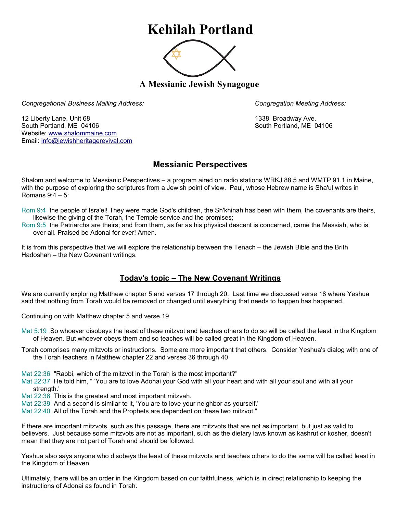## **Kehilah Portland**



**A Messianic Jewish Synagogue** 

*Congregational Business Mailing Address: Congregation Meeting Address:*

12 Liberty Lane, Unit 68 1338 Broadway Ave. South Portland, ME 04106 South Portland, ME 04106 Website: [www.shalommaine.com](http://www.shalommaine.com/) Email: [info@jewishheritagerevival.com](mailto:info@jewishheritagerevival.com) 

## **Messianic Perspectives**

Shalom and welcome to Messianic Perspectives – a program aired on radio stations WRKJ 88.5 and WMTP 91.1 in Maine, with the purpose of exploring the scriptures from a Jewish point of view. Paul, whose Hebrew name is Sha'ul writes in Romans 9:4 – 5:

- Rom 9:4 the people of Isra'el! They were made God's children, the Sh'khinah has been with them, the covenants are theirs, likewise the giving of the Torah, the Temple service and the promises;
- Rom 9:5 the Patriarchs are theirs; and from them, as far as his physical descent is concerned, came the Messiah, who is over all. Praised be Adonai for ever! Amen.

It is from this perspective that we will explore the relationship between the Tenach – the Jewish Bible and the Brith Hadoshah – the New Covenant writings.

## **Today's topic – The New Covenant Writings**

We are currently exploring Matthew chapter 5 and verses 17 through 20. Last time we discussed verse 18 where Yeshua said that nothing from Torah would be removed or changed until everything that needs to happen has happened.

Continuing on with Matthew chapter 5 and verse 19

- Mat 5:19 So whoever disobeys the least of these mitzvot and teaches others to do so will be called the least in the Kingdom of Heaven. But whoever obeys them and so teaches will be called great in the Kingdom of Heaven.
- Torah comprises many mitzvots or instructions. Some are more important that others. Consider Yeshua's dialog with one of the Torah teachers in Matthew chapter 22 and verses 36 through 40

Mat 22:36 "Rabbi, which of the mitzvot in the Torah is the most important?"

Mat 22:37 He told him, " 'You are to love Adonai your God with all your heart and with all your soul and with all your strength.'

Mat 22:38 This is the greatest and most important mitzvah.

Mat 22:39 And a second is similar to it, 'You are to love your neighbor as yourself.'

Mat 22:40 All of the Torah and the Prophets are dependent on these two mitzvot."

If there are important mitzvots, such as this passage, there are mitzvots that are not as important, but just as valid to believers. Just because some mitzvots are not as important, such as the dietary laws known as kashrut or kosher, doesn't mean that they are not part of Torah and should be followed.

Yeshua also says anyone who disobeys the least of these mitzvots and teaches others to do the same will be called least in the Kingdom of Heaven.

Ultimately, there will be an order in the Kingdom based on our faithfulness, which is in direct relationship to keeping the instructions of Adonai as found in Torah.